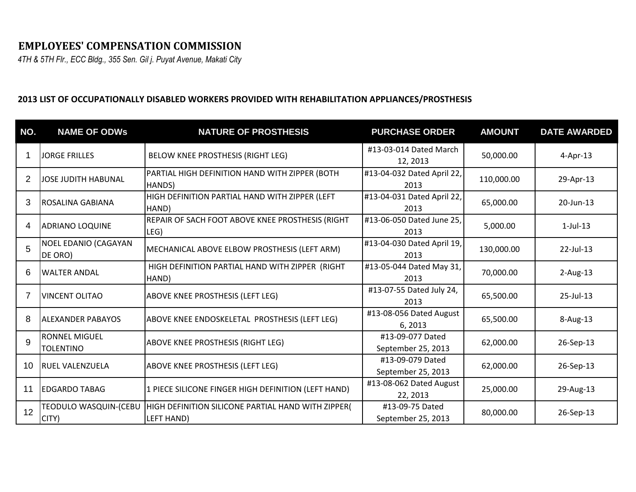## **EMPLOYEES' COMPENSATION COMMISSION**

*4TH & 5TH Flr., ECC Bldg., 355 Sen. Gil j. Puyat Avenue, Makati City*

## **2013 LIST OF OCCUPATIONALLY DISABLED WORKERS PROVIDED WITH REHABILITATION APPLIANCES/PROSTHESIS**

| NO.            | <b>NAME OF ODWS</b>                    | <b>NATURE OF PROSTHESIS</b>                                      | <b>PURCHASE ORDER</b>                  | <b>AMOUNT</b> | <b>DATE AWARDED</b> |
|----------------|----------------------------------------|------------------------------------------------------------------|----------------------------------------|---------------|---------------------|
|                | <b>JORGE FRILLES</b>                   | BELOW KNEE PROSTHESIS (RIGHT LEG)                                | #13-03-014 Dated March<br>12, 2013     | 50,000.00     | $4$ -Apr-13         |
| $\overline{2}$ | <b>JOSE JUDITH HABUNAL</b>             | PARTIAL HIGH DEFINITION HAND WITH ZIPPER (BOTH<br>HANDS)         | #13-04-032 Dated April 22,<br>2013     | 110,000.00    | 29-Apr-13           |
| 3              | <b>IROSALINA GABIANA</b>               | HIGH DEFINITION PARTIAL HAND WITH ZIPPER (LEFT<br>HAND)          | #13-04-031 Dated April 22,<br>2013     | 65,000.00     | 20-Jun-13           |
| 4              | <b>ADRIANO LOQUINE</b>                 | REPAIR OF SACH FOOT ABOVE KNEE PROSTHESIS (RIGHT<br>LEG)         | #13-06-050 Dated June 25,<br>2013      | 5,000.00      | $1$ -Jul- $13$      |
| 5              | <b>NOEL EDANIO (CAGAYAN</b><br>DE ORO) | <b>MECHANICAL ABOVE ELBOW PROSTHESIS (LEFT ARM)</b>              | #13-04-030 Dated April 19,<br>2013     | 130,000.00    | 22-Jul-13           |
| 6              | <b>WALTER ANDAL</b>                    | HIGH DEFINITION PARTIAL HAND WITH ZIPPER (RIGHT<br>HAND)         | #13-05-044 Dated May 31,<br>2013       | 70,000.00     | $2$ -Aug-13         |
|                | <b>VINCENT OLITAO</b>                  | ABOVE KNEE PROSTHESIS (LEFT LEG)                                 | #13-07-55 Dated July 24,<br>2013       | 65,500.00     | 25-Jul-13           |
| 8              | <b>ALEXANDER PABAYOS</b>               | ABOVE KNEE ENDOSKELETAL PROSTHESIS (LEFT LEG)                    | #13-08-056 Dated August<br>6,2013      | 65,500.00     | 8-Aug-13            |
| 9              | RONNEL MIGUEL<br><b>TOLENTINO</b>      | <b>ABOVE KNEE PROSTHESIS (RIGHT LEG)</b>                         | #13-09-077 Dated<br>September 25, 2013 | 62,000.00     | 26-Sep-13           |
| 10             | <b>RUEL VALENZUELA</b>                 | <b>ABOVE KNEE PROSTHESIS (LEFT LEG)</b>                          | #13-09-079 Dated<br>September 25, 2013 | 62,000.00     | 26-Sep-13           |
| 11             | <b>EDGARDO TABAG</b>                   | 1 PIECE SILICONE FINGER HIGH DEFINITION (LEFT HAND)              | #13-08-062 Dated August<br>22, 2013    | 25,000.00     | 29-Aug-13           |
| 12             | TEODULO WASQUIN-(CEBU<br>CITY)         | HIGH DEFINITION SILICONE PARTIAL HAND WITH ZIPPER(<br>LEFT HAND) | #13-09-75 Dated<br>September 25, 2013  | 80,000.00     | 26-Sep-13           |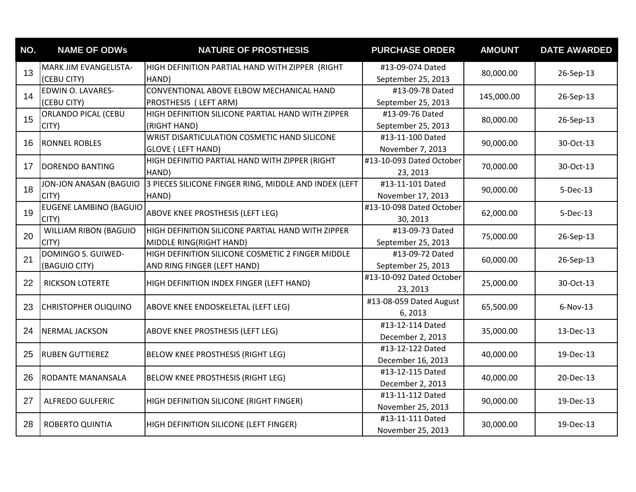| NO. | <b>NAME OF ODWs</b>                   | <b>NATURE OF PROSTHESIS</b>                                                      | <b>PURCHASE ORDER</b>                  | <b>AMOUNT</b> | <b>DATE AWARDED</b> |
|-----|---------------------------------------|----------------------------------------------------------------------------------|----------------------------------------|---------------|---------------------|
| 13  | MARK JIM EVANGELISTA-<br>(CEBU CITY)  | HIGH DEFINITION PARTIAL HAND WITH ZIPPER (RIGHT<br>HAND)                         | #13-09-074 Dated<br>September 25, 2013 | 80,000.00     | 26-Sep-13           |
| 14  | EDWIN O. LAVARES-<br>(CEBU CITY)      | CONVENTIONAL ABOVE ELBOW MECHANICAL HAND<br>PROSTHESIS ( LEFT ARM)               | #13-09-78 Dated<br>September 25, 2013  | 145,000.00    | 26-Sep-13           |
| 15  | <b>ORLANDO PICAL (CEBU</b><br>CITY)   | HIGH DEFINITION SILICONE PARTIAL HAND WITH ZIPPER<br>(RIGHT HAND)                | #13-09-76 Dated<br>September 25, 2013  | 80,000.00     | 26-Sep-13           |
| 16  | <b>RONNEL ROBLES</b>                  | WRIST DISARTICULATION COSMETIC HAND SILICONE<br><b>GLOVE ( LEFT HAND)</b>        | #13-11-100 Dated<br>November 7, 2013   | 90,000.00     | 30-Oct-13           |
| 17  | <b>DORENDO BANTING</b>                | HIGH DEFINITIO PARTIAL HAND WITH ZIPPER (RIGHT<br>HAND)                          | #13-10-093 Dated October<br>23, 2013   | 70,000.00     | 30-Oct-13           |
| 18  | JON-JON ANASAN (BAGUIO<br>CITY)       | 3 PIECES SILICONE FINGER RING, MIDDLE AND INDEX (LEFT<br>HAND)                   | #13-11-101 Dated<br>November 17, 2013  | 90,000.00     | $5-Dec-13$          |
| 19  | EUGENE LAMBINO (BAGUIO<br>CITY)       | ABOVE KNEE PROSTHESIS (LEFT LEG)                                                 | #13-10-098 Dated October<br>30, 2013   | 62,000.00     | 5-Dec-13            |
| 20  | <b>WILLIAM RIBON (BAGUIO</b><br>CITY) | HIGH DEFINITION SILICONE PARTIAL HAND WITH ZIPPER<br>MIDDLE RING(RIGHT HAND)     | #13-09-73 Dated<br>September 25, 2013  | 75,000.00     | 26-Sep-13           |
| 21  | DOMINGO S. GUIWED-<br>(BAGUIO CITY)   | HIGH DEFINITION SILICONE COSMETIC 2 FINGER MIDDLE<br>AND RING FINGER (LEFT HAND) | #13-09-72 Dated<br>September 25, 2013  | 60,000.00     | 26-Sep-13           |
| 22  | RICKSON LOTERTE                       | HIGH DEFINITION INDEX FINGER (LEFT HAND)                                         | #13-10-092 Dated October<br>23, 2013   | 25,000.00     | 30-Oct-13           |
| 23  | <b>CHRISTOPHER OLIQUINO</b>           | ABOVE KNEE ENDOSKELETAL (LEFT LEG)                                               | #13-08-059 Dated August<br>6,2013      | 65,500.00     | $6-Nov-13$          |
| 24  | NERMAL JACKSON                        | ABOVE KNEE PROSTHESIS (LEFT LEG)                                                 | #13-12-114 Dated<br>December 2, 2013   | 35,000.00     | 13-Dec-13           |
| 25  | <b>RUBEN GUTTIEREZ</b>                | BELOW KNEE PROSTHESIS (RIGHT LEG)                                                | #13-12-122 Dated<br>December 16, 2013  | 40,000.00     | 19-Dec-13           |
| 26  | <b>RODANTE MANANSALA</b>              | BELOW KNEE PROSTHESIS (RIGHT LEG)                                                | #13-12-115 Dated<br>December 2, 2013   | 40,000.00     | 20-Dec-13           |
| 27  | <b>ALFREDO GULFERIC</b>               | HIGH DEFINITION SILICONE (RIGHT FINGER)                                          | #13-11-112 Dated<br>November 25, 2013  | 90,000.00     | 19-Dec-13           |
| 28  | <b>ROBERTO QUINTIA</b>                | HIGH DEFINITION SILICONE (LEFT FINGER)                                           | #13-11-111 Dated<br>November 25, 2013  | 30,000.00     | 19-Dec-13           |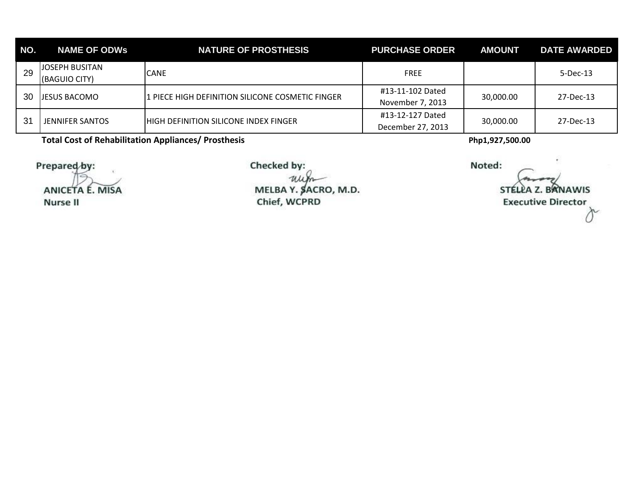| NO. | <b>NAME OF ODWS</b>                    | <b>NATURE OF PROSTHESIS</b>                              | <b>PURCHASE ORDER</b>                 | <b>AMOUNT</b> | <b>DATE AWARDED</b> |
|-----|----------------------------------------|----------------------------------------------------------|---------------------------------------|---------------|---------------------|
| 29  | <b>JOSEPH BUSITAN</b><br>(BAGUIO CITY) | <b>CANE</b>                                              | <b>FREE</b>                           |               | $5$ -Dec-13         |
| 30  | <b>JESUS BACOMO</b>                    | <b>11 PIECE HIGH DEFINITION SILICONE COSMETIC FINGER</b> | #13-11-102 Dated<br>November 7, 2013  | 30,000.00     | 27-Dec-13           |
| 31  | <b>JENNIFER SANTOS</b>                 | IHIGH DEFINITION SILICONE INDEX FINGER                   | #13-12-127 Dated<br>December 27, 2013 | 30,000.00     | 27-Dec-13           |

**Total Cost of Rehabilitation Appliances/ Prosthesis Php1,927,500.00** 

Prepared by:

ANICETA É. MISA **Nurse II** 

Checked by:

un MELBA Y. SACRO, M.D. Chief, WCPRD

Noted:

**BRNAWIS STEL Executive Director**